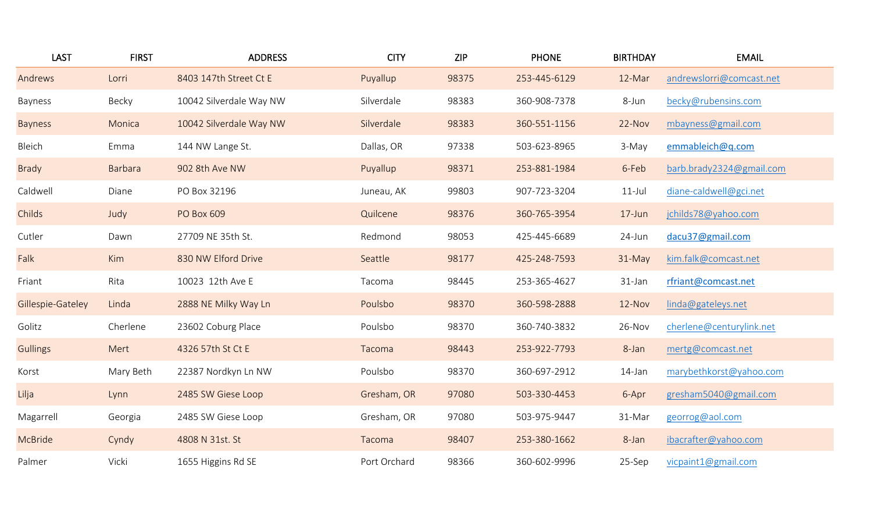| <b>LAST</b>       | <b>FIRST</b>   | <b>ADDRESS</b>          | <b>CITY</b>  | <b>ZIP</b> | <b>PHONE</b> | <b>BIRTHDAY</b> | <b>EMAIL</b>             |
|-------------------|----------------|-------------------------|--------------|------------|--------------|-----------------|--------------------------|
| Andrews           | Lorri          | 8403 147th Street Ct E  | Puyallup     | 98375      | 253-445-6129 | 12-Mar          | andrewslorri@comcast.net |
| Bayness           | Becky          | 10042 Silverdale Way NW | Silverdale   | 98383      | 360-908-7378 | 8-Jun           | becky@rubensins.com      |
| <b>Bayness</b>    | Monica         | 10042 Silverdale Way NW | Silverdale   | 98383      | 360-551-1156 | 22-Nov          | mbayness@gmail.com       |
| Bleich            | Emma           | 144 NW Lange St.        | Dallas, OR   | 97338      | 503-623-8965 | 3-May           | emmableich@q.com         |
| <b>Brady</b>      | <b>Barbara</b> | 902 8th Ave NW          | Puyallup     | 98371      | 253-881-1984 | 6-Feb           | barb.brady2324@gmail.com |
| Caldwell          | Diane          | PO Box 32196            | Juneau, AK   | 99803      | 907-723-3204 | $11$ -Jul       | diane-caldwell@gci.net   |
| Childs            | Judy           | PO Box 609              | Quilcene     | 98376      | 360-765-3954 | $17$ -Jun       | jchilds78@yahoo.com      |
| Cutler            | Dawn           | 27709 NE 35th St.       | Redmond      | 98053      | 425-445-6689 | 24-Jun          | dacu37@gmail.com         |
| Falk              | Kim            | 830 NW Elford Drive     | Seattle      | 98177      | 425-248-7593 | $31-May$        | kim.falk@comcast.net     |
| Friant            | Rita           | 10023 12th Ave E        | Tacoma       | 98445      | 253-365-4627 | 31-Jan          | rfriant@comcast.net      |
| Gillespie-Gateley | Linda          | 2888 NE Milky Way Ln    | Poulsbo      | 98370      | 360-598-2888 | $12-Nov$        | linda@gateleys.net       |
| Golitz            | Cherlene       | 23602 Coburg Place      | Poulsbo      | 98370      | 360-740-3832 | 26-Nov          | cherlene@centurylink.net |
| <b>Gullings</b>   | Mert           | 4326 57th St Ct E       | Tacoma       | 98443      | 253-922-7793 | 8-Jan           | mertg@comcast.net        |
| Korst             | Mary Beth      | 22387 Nordkyn Ln NW     | Poulsbo      | 98370      | 360-697-2912 | 14-Jan          | marybethkorst@yahoo.com  |
| Lilja             | Lynn           | 2485 SW Giese Loop      | Gresham, OR  | 97080      | 503-330-4453 | 6-Apr           | gresham5040@gmail.com    |
| Magarrell         | Georgia        | 2485 SW Giese Loop      | Gresham, OR  | 97080      | 503-975-9447 | 31-Mar          | georrog@aol.com          |
| McBride           | Cyndy          | 4808 N 31st. St         | Tacoma       | 98407      | 253-380-1662 | 8-Jan           | ibacrafter@yahoo.com     |
| Palmer            | Vicki          | 1655 Higgins Rd SE      | Port Orchard | 98366      | 360-602-9996 | 25-Sep          | vicpaint1@gmail.com      |